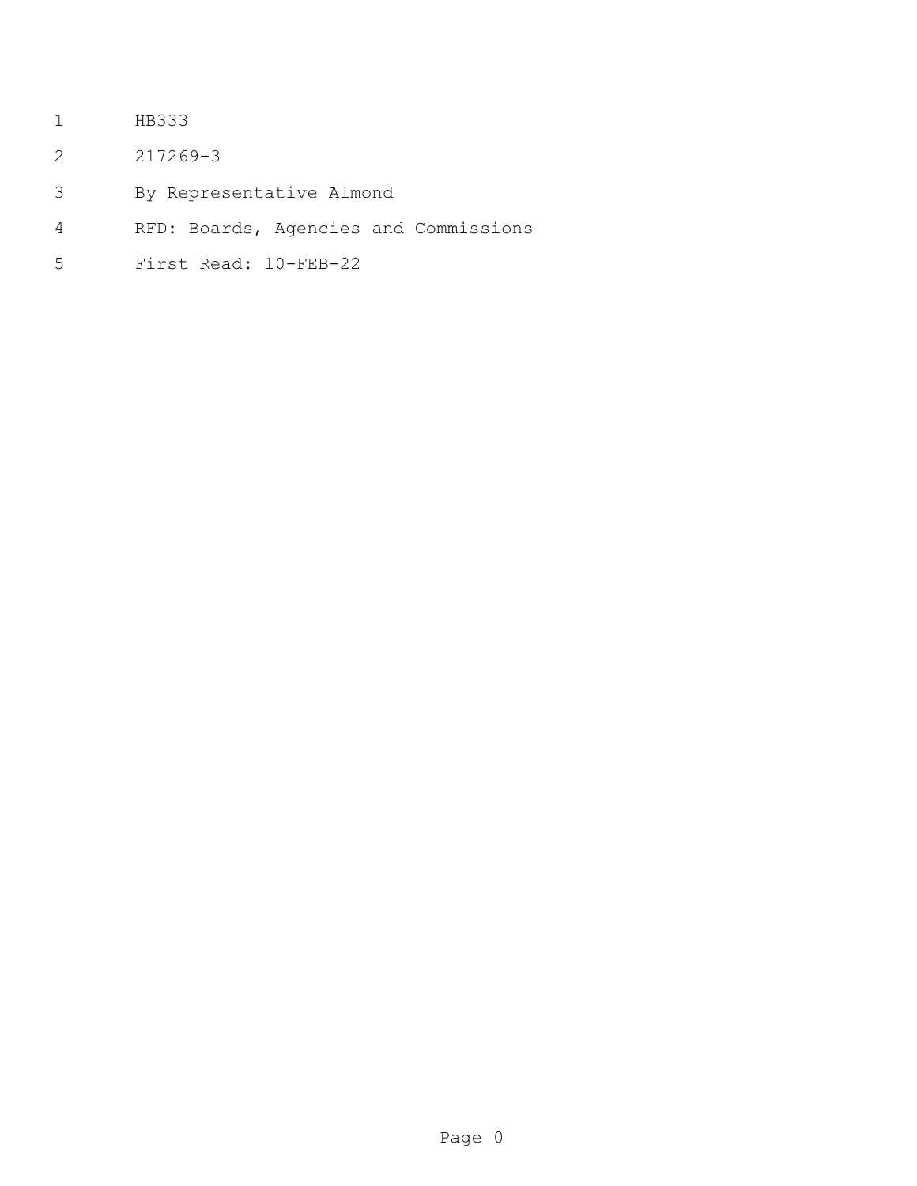- HB333
- 217269-3
- By Representative Almond
- RFD: Boards, Agencies and Commissions
- First Read: 10-FEB-22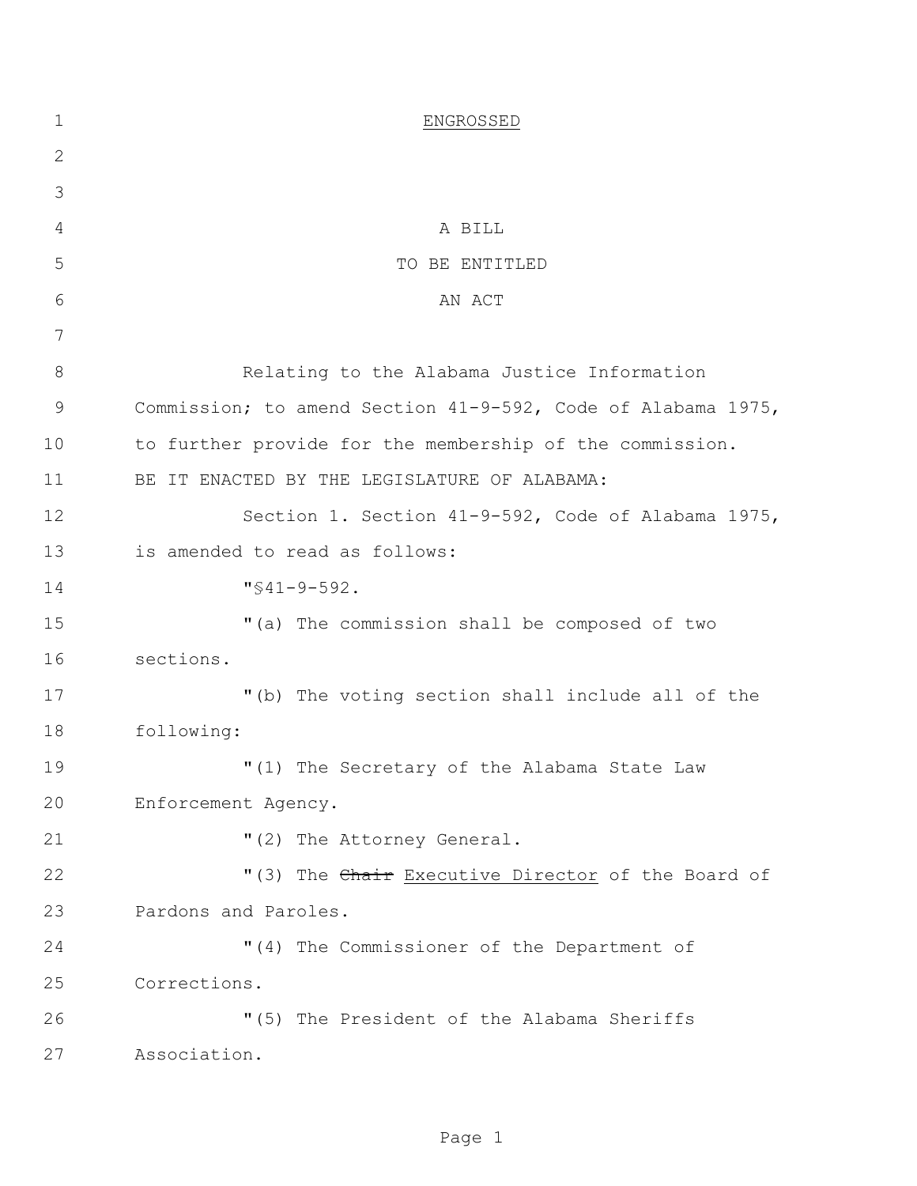| $\mathbf 1$ | ENGROSSED                                                    |
|-------------|--------------------------------------------------------------|
| 2           |                                                              |
| 3           |                                                              |
| 4           | A BILL                                                       |
| 5           | TO BE ENTITLED                                               |
| 6           | AN ACT                                                       |
| 7           |                                                              |
| 8           | Relating to the Alabama Justice Information                  |
| 9           | Commission; to amend Section 41-9-592, Code of Alabama 1975, |
| 10          | to further provide for the membership of the commission.     |
| 11          | BE IT ENACTED BY THE LEGISLATURE OF ALABAMA:                 |
| 12          | Section 1. Section 41-9-592, Code of Alabama 1975,           |
| 13          | is amended to read as follows:                               |
| 14          | $"$ \$41-9-592.                                              |
| 15          | "(a) The commission shall be composed of two                 |
| 16          | sections.                                                    |
| 17          | "(b) The voting section shall include all of the             |
| 18          | following:                                                   |
| 19          | "(1) The Secretary of the Alabama State Law                  |
| 20          | Enforcement Agency.                                          |
| 21          | "(2) The Attorney General.                                   |
| 22          | "(3) The Chair Executive Director of the Board of            |
| 23          | Pardons and Paroles.                                         |
| 24          | "(4) The Commissioner of the Department of                   |
| 25          | Corrections.                                                 |
| 26          | "(5) The President of the Alabama Sheriffs                   |
| 27          | Association.                                                 |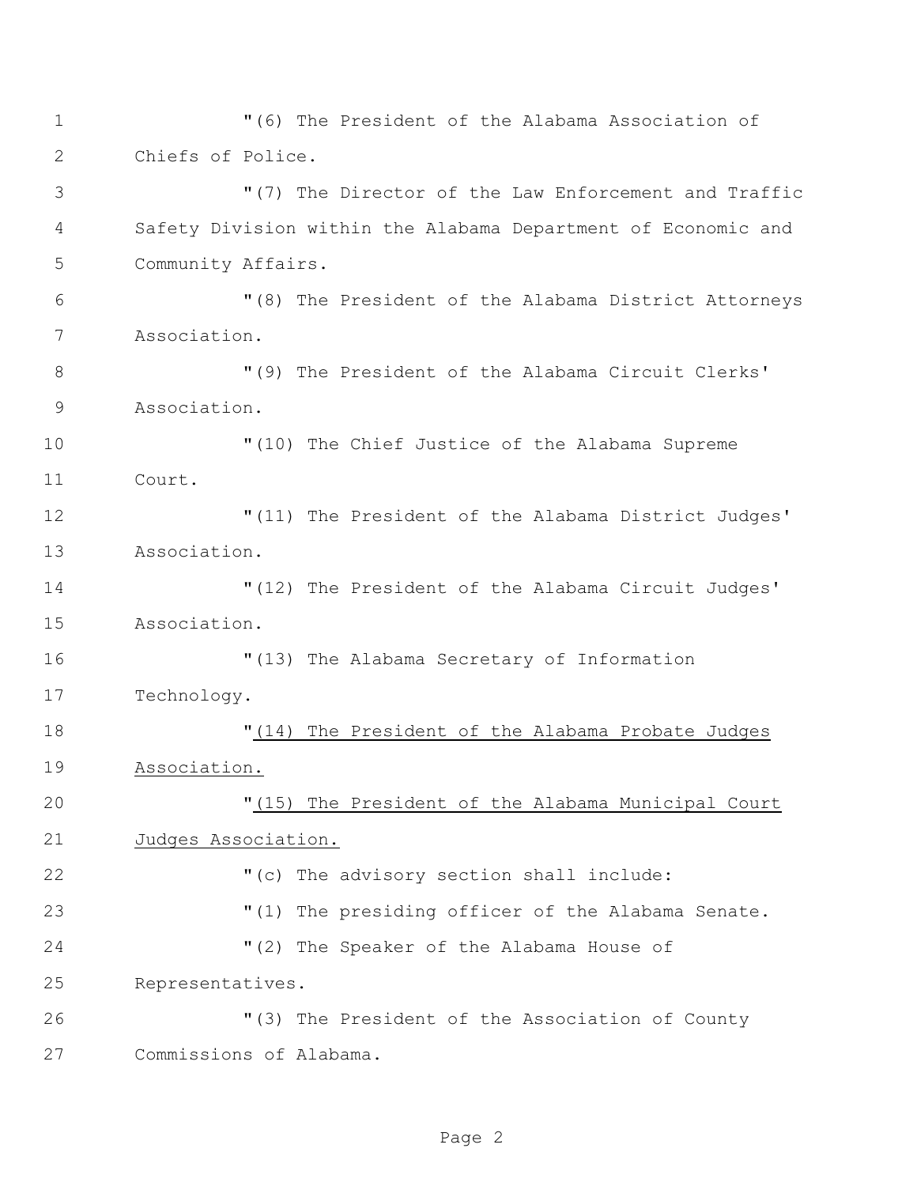"(7) The Director of the Law Enforcement and Traffic Safety Division within the Alabama Department of Economic and Community Affairs. "(8) The President of the Alabama District Attorneys Association. "(9) The President of the Alabama Circuit Clerks' Association. "(10) The Chief Justice of the Alabama Supreme Court. "(11) The President of the Alabama District Judges' Association. "(12) The President of the Alabama Circuit Judges' Association. "(13) The Alabama Secretary of Information Technology. "(14) The President of the Alabama Probate Judges Association. "(15) The President of the Alabama Municipal Court Judges Association. "(c) The advisory section shall include: "(1) The presiding officer of the Alabama Senate. "(2) The Speaker of the Alabama House of Representatives. "(3) The President of the Association of County Commissions of Alabama.

"(6) The President of the Alabama Association of

Chiefs of Police.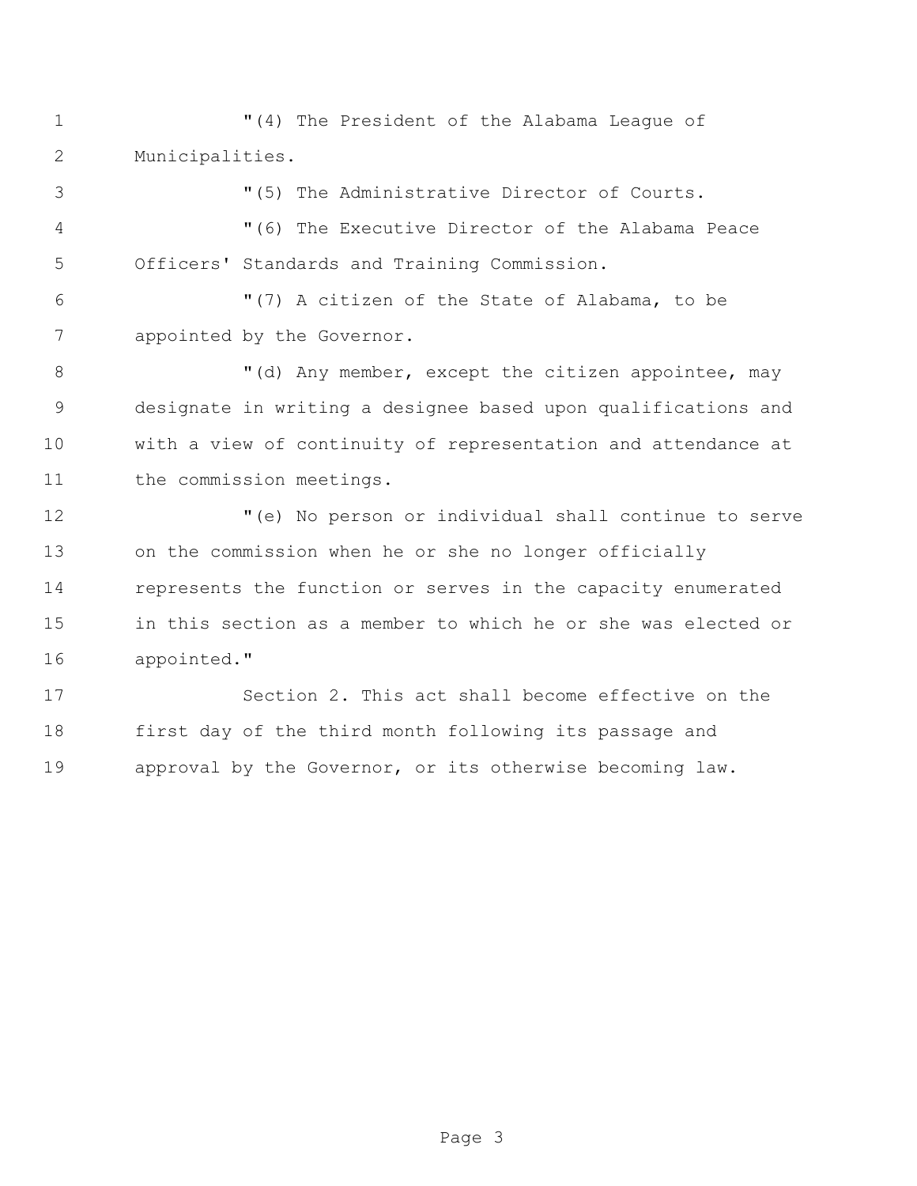"(4) The President of the Alabama League of Municipalities.

 "(5) The Administrative Director of Courts. "(6) The Executive Director of the Alabama Peace

Officers' Standards and Training Commission.

 "(7) A citizen of the State of Alabama, to be appointed by the Governor.

8 "(d) Any member, except the citizen appointee, may designate in writing a designee based upon qualifications and with a view of continuity of representation and attendance at 11 the commission meetings.

 "(e) No person or individual shall continue to serve on the commission when he or she no longer officially represents the function or serves in the capacity enumerated in this section as a member to which he or she was elected or appointed."

 Section 2. This act shall become effective on the first day of the third month following its passage and approval by the Governor, or its otherwise becoming law.